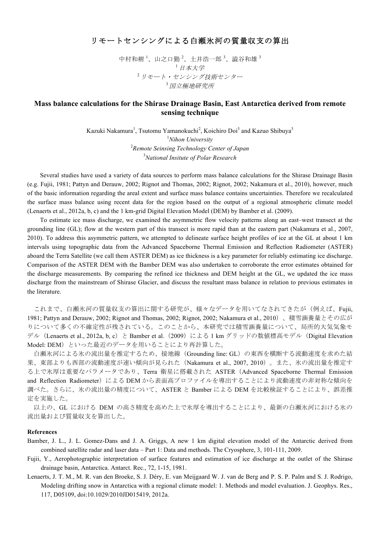## リモートセンシングによる白瀬氷河の質量収支の算出

中村和樹<sup>1</sup>、山之口勤<sup>2</sup>、土井浩一郎<sup>3</sup>、澁谷和雄<sup>3</sup> <sup>1</sup>日本大学 <sup>2</sup> リモート・センシング技術センター <sup>3</sup>国立極地研究所

## **Mass balance calculations for the Shirase Drainage Basin, East Antarctica derived from remote sensing technique**

Kazuki Nakamura<sup>1</sup>, Tsutomu Yamanokuchi<sup>2</sup>, Koichiro Doi<sup>3</sup> and Kazuo Shibuya<sup>3</sup> *Nihon University Remote Seinsing Technology Center of Japan National Insitute of Polar Research*

 Several studies have used a variety of data sources to perform mass balance calculations for the Shirase Drainage Basin (e.g. Fujii, 1981; Pattyn and Derauw, 2002; Rignot and Thomas, 2002; Rignot, 2002; Nakamura et al., 2010), however, much of the basic information regarding the areal extent and surface mass balance contains uncertainties. Therefore we recalculated the surface mass balance using recent data for the region based on the output of a regional atmospheric climate model (Lenaerts et al., 2012a, b, c) and the 1 km-grid Digital Elevation Model (DEM) by Bamber et al. (2009).

 To estimate ice mass discharge, we examined the asymmetric flow velocity patterns along an east–west transect at the grounding line (GL); flow at the western part of this transect is more rapid than at the eastern part (Nakamura et al., 2007, 2010). To address this asymmetric pattern, we attempted to delineate surface height profiles of ice at the GL at about 1 km intervals using topographic data from the Advanced Spaceborne Thermal Emission and Reflection Radiometer (ASTER) aboard the Terra Satellite (we call them ASTER DEM) as ice thickness is a key parameter for reliably estimating ice discharge. Comparison of the ASTER DEM with the Bamber DEM was also undertaken to corroborate the error estimates obtained for the discharge measurements. By comparing the refined ice thickness and DEM height at the GL, we updated the ice mass discharge from the mainstream of Shirase Glacier, and discuss the resultant mass balance in relation to previous estimates in the literature.

これまで、白瀬氷河の質量収支の算出に関する研究が、様々なデータを用いてなされてきたが(例えば、Fujii, 1981; Pattyn and Derauw, 2002; Rignot and Thomas, 2002; Rignot, 2002; Nakamura et al., 2010)、積雪涵養量とその広が りについて多くの不確定性が残されている。このことから、本研究では積雪涵養量について、局所的大気気象モ デル (Lenaerts et al., 2012a, b, c) と Bamber et al. (2009) による 1 km グリッドの数値標高モデル (Digital Elevation Model: DEM)といった最近のデータを用いることにより再計算した。

白瀬氷河による氷の流出量を推定するため、接地線(Grounding line: GL)の東西を横断する流動速度を求めた結 果、東部よりも西部の流動速度が速い傾向が見られた(Nakamura et al., 2007, 2010)。また、氷の流出量を推定す る上で氷厚は重要なパラメータであり、Terra 衛星に搭載された ASTER(Advanced Spaceborne Thermal Emission and Reflection Radiometer) による DEM から表面高プロファイルを導出することにより流動速度の非対称な傾向を 調べた。さらに、氷の流出量の精度について、ASTER と Bamber による DEM を比較検証することにより、誤差推 定を実施した。

以上の、GL における DEM の高さ精度を高めた上で氷厚を導出することにより、最新の白瀬氷河における氷の 流出量および質量収支を算出した。

## **References**

- Bamber, J. L., J. L. Gomez-Dans and J. A. Griggs, A new 1 km digital elevation model of the Antarctic derived from combined satellite radar and laser data – Part 1: Data and methods. The Cryosphere, 3, 101-111, 2009.
- Fujii, Y., Aerophotographic interpretation of surface features and estimation of ice discharge at the outlet of the Shirase drainage basin, Antarctica. Antarct. Rec., 72, 1-15, 1981.
- Lenaerts, J. T. M., M. R. van den Broeke, S. J. Déry, E. van Meijgaard W. J. van de Berg and P. S. P. Palm and S. J. Rodrigo, Modeling drifting snow in Antarctica with a regional climate model: 1. Methods and model evaluation. J. Geophys. Res., 117, D05109, doi:10.1029/2010JD015419, 2012a.